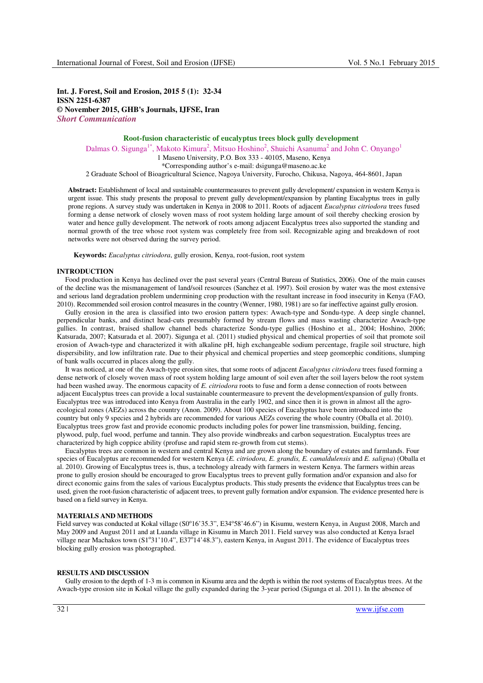**Int. J. Forest, Soil and Erosion, 2015 5 (1): 32-34 ISSN 2251-6387 © November 2015, GHB's Journals, IJFSE, Iran**  *Short Communication* 

### **Root-fusion characteristic of eucalyptus trees block gully development**  Dalmas O. Sigunga<sup>1\*</sup>, Makoto Kimura<sup>2</sup>, Mitsuo Hoshino<sup>2</sup>, Shuichi Asanuma<sup>2</sup> and John C. Onyango<sup>1</sup> 1 Maseno University, P.O. Box 333 - 40105, Maseno, Kenya \*Corresponding author's e-mail: dsigunga@maseno.ac.ke

2 Graduate School of Bioagricultural Science, Nagoya University, Furocho, Chikusa, Nagoya, 464-8601, Japan

**Abstract:** Establishment of local and sustainable countermeasures to prevent gully development/ expansion in western Kenya is urgent issue. This study presents the proposal to prevent gully development/expansion by planting Eucalyptus trees in gully prone regions. A survey study was undertaken in Kenya in 2008 to 2011. Roots of adjacent *Eucalyptus citriodora* trees fused forming a dense network of closely woven mass of root system holding large amount of soil thereby checking erosion by water and hence gully development. The network of roots among adjacent Eucalyptus trees also supported the standing and normal growth of the tree whose root system was completely free from soil. Recognizable aging and breakdown of root networks were not observed during the survey period.

**Keywords:** *Eucalyptus citriodora*, gully erosion, Kenya, root-fusion, root system

# **INTRODUCTION**

Food production in Kenya has declined over the past several years (Central Bureau of Statistics, 2006). One of the main causes of the decline was the mismanagement of land/soil resources (Sanchez et al. 1997). Soil erosion by water was the most extensive and serious land degradation problem undermining crop production with the resultant increase in food insecurity in Kenya (FAO, 2010). Recommended soil erosion control measures in the country (Wenner, 1980, 1981) are so far ineffective against gully erosion.

Gully erosion in the area is classified into two erosion pattern types: Awach-type and Sondu-type. A deep single channel, perpendicular banks, and distinct head-cuts presumably formed by stream flows and mass wasting characterize Awach-type gullies. In contrast, braised shallow channel beds characterize Sondu-type gullies (Hoshino et al., 2004; Hoshino, 2006; Katsurada, 2007; Katsurada et al. 2007). Sigunga et al. (2011) studied physical and chemical properties of soil that promote soil erosion of Awach-type and characterized it with alkaline pH, high exchangeable sodium percentage, fragile soil structure, high dispersibility, and low infiltration rate. Due to their physical and chemical properties and steep geomorphic conditions, slumping of bank walls occurred in places along the gully.

It was noticed, at one of the Awach-type erosion sites, that some roots of adjacent *Eucalyptus citriodora* trees fused forming a dense network of closely woven mass of root system holding large amount of soil even after the soil layers below the root system had been washed away. The enormous capacity of *E. citriodora* roots to fuse and form a dense connection of roots between adjacent Eucalyptus trees can provide a local sustainable countermeasure to prevent the development/expansion of gully fronts. Eucalyptus tree was introduced into Kenya from Australia in the early 1902, and since then it is grown in almost all the agroecological zones (AEZs) across the country (Anon. 2009). About 100 species of Eucalyptus have been introduced into the country but only 9 species and 2 hybrids are recommended for various AEZs covering the whole country (Oballa et al. 2010). Eucalyptus trees grow fast and provide economic products including poles for power line transmission, building, fencing, plywood, pulp, fuel wood, perfume and tannin. They also provide windbreaks and carbon sequestration. Eucalyptus trees are characterized by high coppice ability (profuse and rapid stem re-growth from cut stems).

Eucalyptus trees are common in western and central Kenya and are grown along the boundary of estates and farmlands. Four species of Eucalyptus are recommended for western Kenya (*E. citriodora, E. grandis, E. camaldulensis* and *E. saligna*) (Oballa et al. 2010). Growing of Eucalyptus trees is, thus, a technology already with farmers in western Kenya. The farmers within areas prone to gully erosion should be encouraged to grow Eucalyptus trees to prevent gully formation and/or expansion and also for direct economic gains from the sales of various Eucalyptus products. This study presents the evidence that Eucalyptus trees can be used, given the root-fusion characteristic of adjacent trees, to prevent gully formation and/or expansion. The evidence presented here is based on a field survey in Kenya.

## **MATERIALS AND METHODS**

Field survey was conducted at Kokal village (S0°16'35.3", E34°58'46.6") in Kisumu, western Kenya, in August 2008, March and May 2009 and August 2011 and at Luanda village in Kisumu in March 2011. Field survey was also conducted at Kenya Israel village near Machakos town (S1°31'10.4", E37°14'48.3"), eastern Kenya, in August 2011. The evidence of Eucalyptus trees blocking gully erosion was photographed.

#### **RESULTS AND DISCUSSION**

Gully erosion to the depth of 1-3 m is common in Kisumu area and the depth is within the root systems of Eucalyptus trees. At the Awach-type erosion site in Kokal village the gully expanded during the 3-year period (Sigunga et al. 2011). In the absence of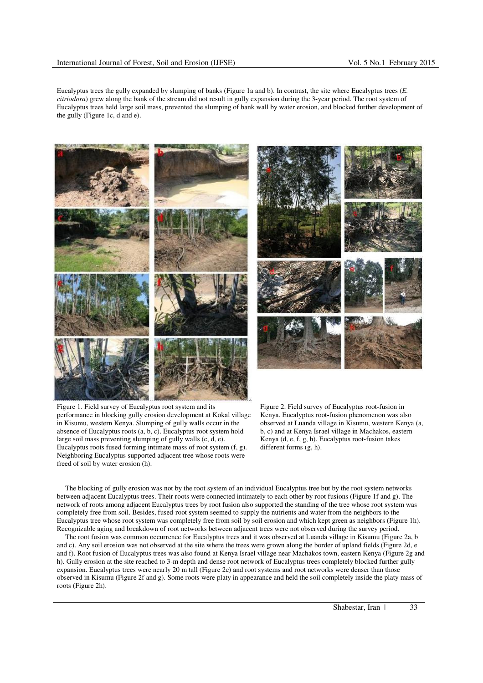Eucalyptus trees the gully expanded by slumping of banks (Figure 1a and b). In contrast, the site where Eucalyptus trees (*E. citriodora*) grew along the bank of the stream did not result in gully expansion during the 3-year period. The root system of Eucalyptus trees held large soil mass, prevented the slumping of bank wall by water erosion, and blocked further development of the gully (Figure 1c, d and e).



Figure 1. Field survey of Eucalyptus root system and its performance in blocking gully erosion development at Kokal village in Kisumu, western Kenya. Slumping of gully walls occur in the absence of Eucalyptus roots (a, b, c). Eucalyptus root system hold large soil mass preventing slumping of gully walls (c, d, e). Eucalyptus roots fused forming intimate mass of root system (f, g). Neighboring Eucalyptus supported adjacent tree whose roots were freed of soil by water erosion (h).

Figure 2. Field survey of Eucalyptus root-fusion in Kenya. Eucalyptus root-fusion phenomenon was also observed at Luanda village in Kisumu, western Kenya (a, b, c) and at Kenya Israel village in Machakos, eastern Kenya (d, e, f, g, h). Eucalyptus root-fusion takes different forms (g, h).

The blocking of gully erosion was not by the root system of an individual Eucalyptus tree but by the root system networks between adjacent Eucalyptus trees. Their roots were connected intimately to each other by root fusions (Figure 1f and g). The network of roots among adjacent Eucalyptus trees by root fusion also supported the standing of the tree whose root system was completely free from soil. Besides, fused-root system seemed to supply the nutrients and water from the neighbors to the Eucalyptus tree whose root system was completely free from soil by soil erosion and which kept green as neighbors (Figure 1h). Recognizable aging and breakdown of root networks between adjacent trees were not observed during the survey period.

The root fusion was common occurrence for Eucalyptus trees and it was observed at Luanda village in Kisumu (Figure 2a, b and c). Any soil erosion was not observed at the site where the trees were grown along the border of upland fields (Figure 2d, e and f). Root fusion of Eucalyptus trees was also found at Kenya Israel village near Machakos town, eastern Kenya (Figure 2g and h). Gully erosion at the site reached to 3-m depth and dense root network of Eucalyptus trees completely blocked further gully expansion. Eucalyptus trees were nearly 20 m tall (Figure 2e) and root systems and root networks were denser than those observed in Kisumu (Figure 2f and g). Some roots were platy in appearance and held the soil completely inside the platy mass of roots (Figure 2h).